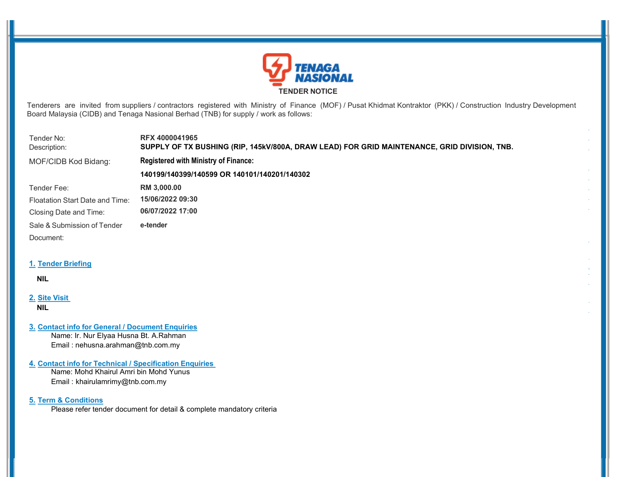

Tenderers are invited from suppliers / contractors registered with Ministry of Finance (MOF) / Pusat Khidmat Kontraktor (PKK) / Construction Industry Development Board Malaysia (CIDB) and Tenaga Nasional Berhad (TNB) for supply / work as follows:

 $\bar{\omega}$ 

 $\hat{\mathcal{A}}$  $\bar{\psi}$  $\mathcal{L}$ 

| Tender No:<br>Description:      | <b>RFX 4000041965</b><br>SUPPLY OF TX BUSHING (RIP, 145kV/800A, DRAW LEAD) FOR GRID MAINTENANCE, GRID DIVISION, TNB. |
|---------------------------------|----------------------------------------------------------------------------------------------------------------------|
| MOF/CIDB Kod Bidang:            | <b>Registered with Ministry of Finance:</b>                                                                          |
|                                 | 140199/140399/140599 OR 140101/140201/140302                                                                         |
| Tender Fee:                     | RM 3,000.00                                                                                                          |
| Floatation Start Date and Time: | 15/06/2022 09:30                                                                                                     |
| Closing Date and Time:          | 06/07/2022 17:00                                                                                                     |
| Sale & Submission of Tender     | e-tender                                                                                                             |
| Document:                       |                                                                                                                      |
|                                 |                                                                                                                      |

# 1. Tender Briefing

### NIL

# 2. Site Visit

NIL

### 3. Contact info for General / Document Enquiries

Name: Ir. Nur Elyaa Husna Bt. A.Rahman Email : nehusna.arahman@tnb.com.my

# 4. Contact info for Technical / Specification Enquiries

Name: Mohd Khairul Amri bin Mohd Yunus Email : khairulamrimy@tnb.com.my

# 5. Term & Conditions

Please refer tender document for detail & complete mandatory criteria